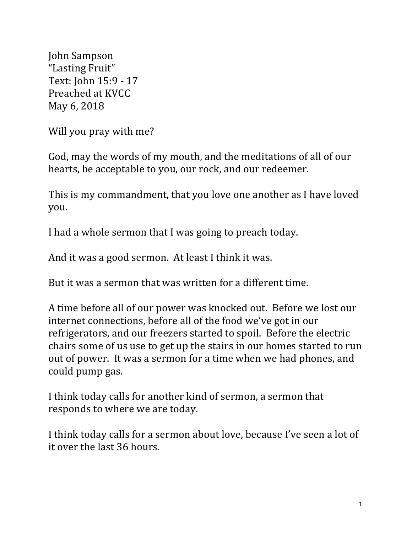John Sampson "Lasting Fruit" Text: John 15:9 - 17 Preached at KVCC May 6, 2018

Will you pray with me?

God, may the words of my mouth, and the meditations of all of our hearts, be acceptable to you, our rock, and our redeemer.

This is my commandment, that you love one another as I have loved you.

I had a whole sermon that I was going to preach today.

And it was a good sermon. At least I think it was.

But it was a sermon that was written for a different time.

A time before all of our power was knocked out. Before we lost our internet connections, before all of the food we've got in our refrigerators, and our freezers started to spoil. Before the electric chairs some of us use to get up the stairs in our homes started to run out of power. It was a sermon for a time when we had phones, and could pump gas.

I think today calls for another kind of sermon, a sermon that responds to where we are today.

I think today calls for a sermon about love, because I've seen a lot of it over the last 36 hours.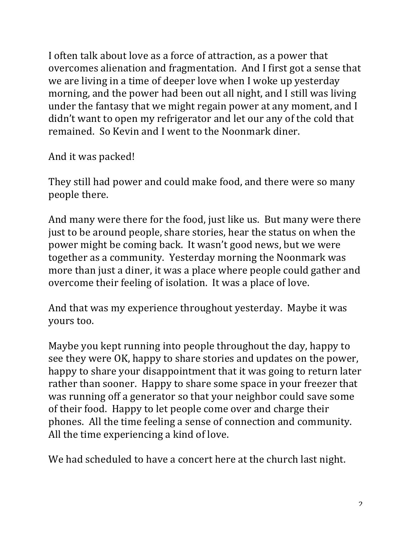I often talk about love as a force of attraction, as a power that overcomes alienation and fragmentation. And I first got a sense that we are living in a time of deeper love when I woke up yesterday morning, and the power had been out all night, and I still was living under the fantasy that we might regain power at any moment, and I didn't want to open my refrigerator and let our any of the cold that remained. So Kevin and I went to the Noonmark diner.

And it was packed!

They still had power and could make food, and there were so many people there.

And many were there for the food, just like us. But many were there just to be around people, share stories, hear the status on when the power might be coming back. It wasn't good news, but we were together as a community. Yesterday morning the Noonmark was more than just a diner, it was a place where people could gather and overcome their feeling of isolation. It was a place of love.

And that was my experience throughout yesterday. Maybe it was yours too.

Maybe you kept running into people throughout the day, happy to see they were OK, happy to share stories and updates on the power, happy to share your disappointment that it was going to return later rather than sooner. Happy to share some space in your freezer that was running off a generator so that your neighbor could save some of their food. Happy to let people come over and charge their phones. All the time feeling a sense of connection and community. All the time experiencing a kind of love.

We had scheduled to have a concert here at the church last night.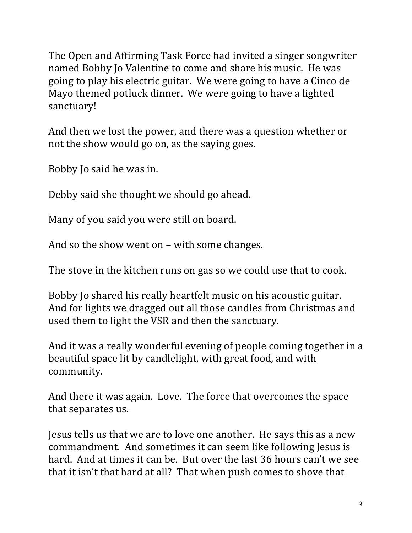The Open and Affirming Task Force had invited a singer songwriter named Bobby Io Valentine to come and share his music. He was going to play his electric guitar. We were going to have a Cinco de Mayo themed potluck dinner. We were going to have a lighted sanctuary!

And then we lost the power, and there was a question whether or not the show would go on, as the saying goes.

Bobby Jo said he was in.

Debby said she thought we should go ahead.

Many of you said you were still on board.

And so the show went on  $-$  with some changes.

The stove in the kitchen runs on gas so we could use that to cook.

Bobby Io shared his really heartfelt music on his acoustic guitar. And for lights we dragged out all those candles from Christmas and used them to light the VSR and then the sanctuary.

And it was a really wonderful evening of people coming together in a beautiful space lit by candlelight, with great food, and with community.

And there it was again. Love. The force that overcomes the space that separates us.

Jesus tells us that we are to love one another. He says this as a new commandment. And sometimes it can seem like following Jesus is hard. And at times it can be. But over the last 36 hours can't we see that it isn't that hard at all? That when push comes to shove that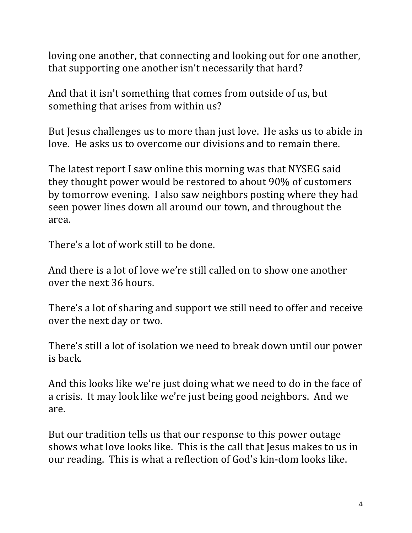loving one another, that connecting and looking out for one another, that supporting one another isn't necessarily that hard?

And that it isn't something that comes from outside of us, but something that arises from within us?

But Jesus challenges us to more than just love. He asks us to abide in love. He asks us to overcome our divisions and to remain there.

The latest report I saw online this morning was that NYSEG said they thought power would be restored to about 90% of customers by tomorrow evening. I also saw neighbors posting where they had seen power lines down all around our town, and throughout the area.

There's a lot of work still to be done.

And there is a lot of love we're still called on to show one another over the next 36 hours.

There's a lot of sharing and support we still need to offer and receive over the next day or two.

There's still a lot of isolation we need to break down until our power is back.

And this looks like we're just doing what we need to do in the face of a crisis. It may look like we're just being good neighbors. And we are.

But our tradition tells us that our response to this power outage shows what love looks like. This is the call that Jesus makes to us in our reading. This is what a reflection of God's kin-dom looks like.